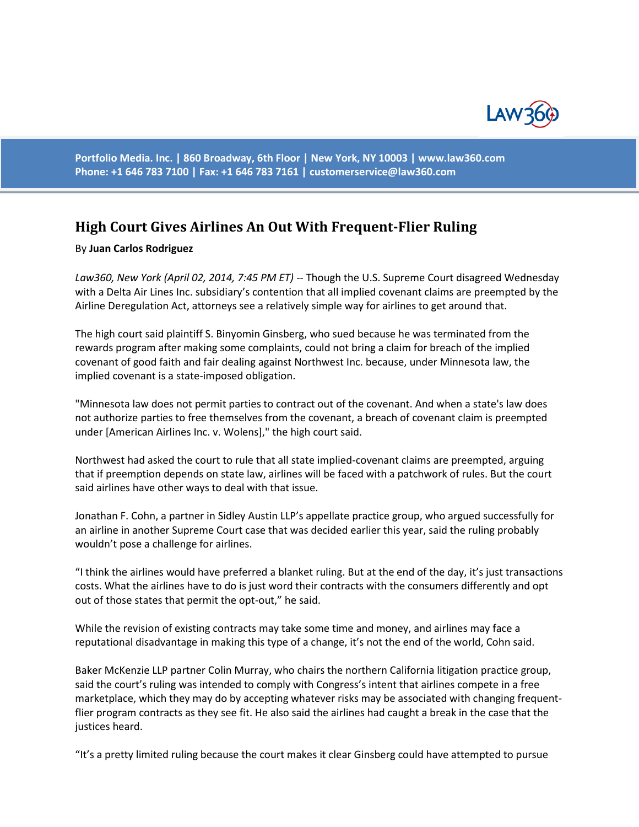

**Portfolio Media. Inc. | 860 Broadway, 6th Floor | New York, NY 10003 | www.law360.com Phone: +1 646 783 7100 | Fax: +1 646 783 7161 | [customerservice@law360.com](mailto:customerservice@law360.com)**

## **High Court Gives Airlines An Out With Frequent-Flier Ruling**

## By **Juan Carlos Rodriguez**

*Law360, New York (April 02, 2014, 7:45 PM ET)* -- Though the U.S. Supreme Court disagreed Wednesday with a Delta Air Lines Inc. subsidiary's contention that all implied covenant claims are preempted by the Airline Deregulation Act, attorneys see a relatively simple way for airlines to get around that.

The high court said plaintiff S. Binyomin Ginsberg, who sued because he was terminated from the rewards program after making some complaints, could not bring a claim for breach of the implied covenant of good faith and fair dealing against Northwest Inc. because, under Minnesota law, the implied covenant is a state-imposed obligation.

"Minnesota law does not permit parties to contract out of the covenant. And when a state's law does not authorize parties to free themselves from the covenant, a breach of covenant claim is preempted under [American Airlines Inc. v. Wolens]," the high court said.

Northwest had asked the court to rule that all state implied-covenant claims are preempted, arguing that if preemption depends on state law, airlines will be faced with a patchwork of rules. But the court said airlines have other ways to deal with that issue.

Jonathan F. Cohn, a partner in Sidley Austin LLP's appellate practice group, who argued successfully for an airline in another Supreme Court case that was decided earlier this year, said the ruling probably wouldn't pose a challenge for airlines.

"I think the airlines would have preferred a blanket ruling. But at the end of the day, it's just transactions costs. What the airlines have to do is just word their contracts with the consumers differently and opt out of those states that permit the opt-out," he said.

While the revision of existing contracts may take some time and money, and airlines may face a reputational disadvantage in making this type of a change, it's not the end of the world, Cohn said.

Baker McKenzie LLP partner Colin Murray, who chairs the northern California litigation practice group, said the court's ruling was intended to comply with Congress's intent that airlines compete in a free marketplace, which they may do by accepting whatever risks may be associated with changing frequentflier program contracts as they see fit. He also said the airlines had caught a break in the case that the justices heard.

"It's a pretty limited ruling because the court makes it clear Ginsberg could have attempted to pursue